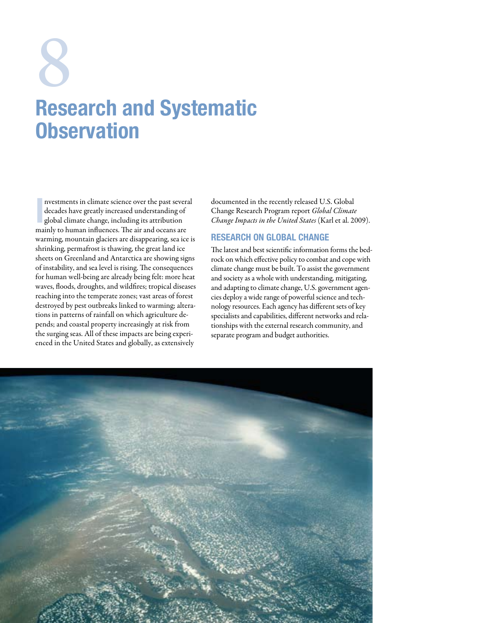# Research and Systematic **Observation** 8<br>Rec

I nvestments in climate science over the past several decades have greatly increased understanding of global climate change, including its attribution mainly to human influences. The air and oceans are warming, mountain glaciers are disappearing, sea ice is shrinking, permafrost is thawing, the great land ice sheets on Greenland and Antarctica are showing signs of instability, and sea level is rising. The consequences for human well-being are already being felt: more heat waves, floods, droughts, and wildfires; tropical diseases reaching into the temperate zones; vast areas of forest destroyed by pest outbreaks linked to warming; alterations in patterns of rainfall on which agriculture depends; and coastal property increasingly at risk from the surging seas. All of these impacts are being experienced in the United States and globally, as extensively

documented in the recently released U.S. Global Change Research Program report *Global Climate Change Impacts in the United States* (Karl et al. 2009).

# Research on Global Change

The latest and best scientific information forms the bedrock on which effective policy to combat and cope with climate change must be built. To assist the government and society as a whole with understanding, mitigating, and adapting to climate change, U.S. government agencies deploy a wide range of powerful science and technology resources. Each agency has different sets of key specialists and capabilities, different networks and relationships with the external research community, and separate program and budget authorities.

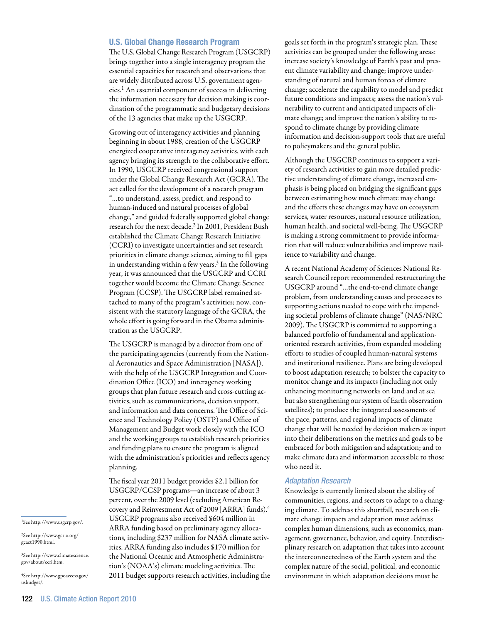#### U.S. Global Change Research Program

The U.S. Global Change Research Program (USGCRP) brings together into a single interagency program the essential capacities for research and observations that are widely distributed across U.S. government agencies.1 An essential component of success in delivering the information necessary for decision making is coordination of the programmatic and budgetary decisions of the 13 agencies that make up the USGCRP.

Growing out of interagency activities and planning beginning in about 1988, creation of the USGCRP energized cooperative interagency activities, with each agency bringing its strength to the collaborative effort. In 1990, USGCRP received congressional support under the Global Change Research Act (GCRA). The act called for the development of a research program "…to understand, assess, predict, and respond to human-induced and natural processes of global change," and guided federally supported global change research for the next decade.2 In 2001, President Bush established the Climate Change Research Initiative (CCRI) to investigate uncertainties and set research priorities in climate change science, aiming to fill gaps in understanding within a few years.3 In the following year, it was announced that the USGCRP and CCRI together would become the Climate Change Science Program (CCSP). The USGCRP label remained attached to many of the program's activities; now, consistent with the statutory language of the GCRA, the whole effort is going forward in the Obama administration as the USGCRP.

The USGCRP is managed by a director from one of the participating agencies (currently from the National Aeronautics and Space Administration [NASA]), with the help of the USGCRP Integration and Coordination Office (ICO) and interagency working groups that plan future research and cross-cutting activities, such as communications, decision support, and information and data concerns. The Office of Science and Technology Policy (OSTP) and Office of Management and Budget work closely with the ICO and the working groups to establish research priorities and funding plans to ensure the program is aligned with the administration's priorities and reflects agency planning.

The fiscal year 2011 budget provides \$2.1 billion for USGCRP/CCSP programs—an increase of about 3 percent, over the 2009 level (excluding American Recovery and Reinvestment Act of 2009 [ARRA] funds).4 USGCRP programs also received \$604 million in ARRA funding based on preliminary agency allocations, including \$237 million for NASA climate activities. ARRA funding also includes \$170 million for the National Oceanic and Atmospheric Administration's (NOAA's) climate modeling activities. The 2011 budget supports research activities, including the goals set forth in the program's strategic plan. These activities can be grouped under the following areas: increase society's knowledge of Earth's past and present climate variability and change; improve understanding of natural and human forces of climate change; accelerate the capability to model and predict future conditions and impacts; assess the nation's vulnerability to current and anticipated impacts of climate change; and improve the nation's ability to respond to climate change by providing climate information and decision-support tools that are useful to policymakers and the general public.

Although the USGCRP continues to support a variety of research activities to gain more detailed predictive understanding of climate change, increased emphasis is being placed on bridging the significant gaps between estimating how much climate may change and the effects these changes may have on ecosystem services, water resources, natural resource utilization, human health, and societal well-being. The USGCRP is making a strong commitment to provide information that will reduce vulnerabilities and improve resilience to variability and change.

A recent National Academy of Sciences National Research Council report recommended restructuring the USGCRP around "…the end-to-end climate change problem, from understanding causes and processes to supporting actions needed to cope with the impending societal problems of climate change" (NAS/NRC 2009). The USGCRP is committed to supporting a balanced portfolio of fundamental and applicationoriented research activities, from expanded modeling efforts to studies of coupled human-natural systems and institutional resilience. Plans are being developed to boost adaptation research; to bolster the capacity to monitor change and its impacts (including not only enhancing monitoring networks on land and at sea but also strengthening our system of Earth observation satellites); to produce the integrated assessments of the pace, patterns, and regional impacts of climate change that will be needed by decision makers as input into their deliberations on the metrics and goals to be embraced for both mitigation and adaptation; and to make climate data and information accessible to those who need it.

#### *Adaptation Research*

Knowledge is currently limited about the ability of communities, regions, and sectors to adapt to a changing climate. To address this shortfall, research on climate change impacts and adaptation must address complex human dimensions, such as economics, management, governance, behavior, and equity. Interdisciplinary research on adaptation that takes into account the interconnectedness of the Earth system and the complex nature of the social, political, and economic environment in which adaptation decisions must be

1See http://www.usgcrp.gov/.

2See http://www.gcrio.org/ gcact1990.html.

3See http://www.climatescience. gov/about/ccri.htm.

4See http://www.gpoaccess.gov/ usbudget/.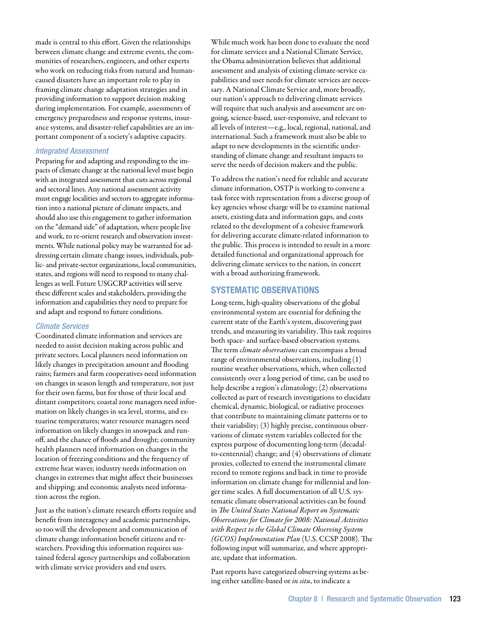made is central to this effort. Given the relationships between climate change and extreme events, the communities of researchers, engineers, and other experts who work on reducing risks from natural and humancaused disasters have an important role to play in framing climate change adaptation strategies and in providing information to support decision making during implementation. For example, assessments of emergency preparedness and response systems, insurance systems, and disaster-relief capabilities are an important component of a society's adaptive capacity.

## *Integrated Assessment*

Preparing for and adapting and responding to the impacts of climate change at the national level must begin with an integrated assessment that cuts across regional and sectoral lines. Any national assessment activity must engage localities and sectors to aggregate information into a national picture of climate impacts, and should also use this engagement to gather information on the "demand side" of adaptation, where people live and work, to re-orient research and observation investments. While national policy may be warranted for addressing certain climate change issues, individuals, public- and private-sector organizations, local communities, states, and regions will need to respond to many challenges as well. Future USGCRP activities will serve these different scales and stakeholders, providing the information and capabilities they need to prepare for and adapt and respond to future conditions.

# *Climate Services*

Coordinated climate information and services are needed to assist decision making across public and private sectors. Local planners need information on likely changes in precipitation amount and flooding rains; farmers and farm cooperatives need information on changes in season length and temperature, not just for their own farms, but for those of their local and distant competitors; coastal zone managers need information on likely changes in sea level, storms, and estuarine temperatures; water resource managers need information on likely changes in snowpack and runoff, and the chance of floods and drought; community health planners need information on changes in the location of freezing conditions and the frequency of extreme heat waves; industry needs information on changes in extremes that might affect their businesses and shipping; and economic analysts need information across the region.

Just as the nation's climate research efforts require and benefit from interagency and academic partnerships, so too will the development and communication of climate change information benefit citizens and researchers. Providing this information requires sustained federal agency partnerships and collaboration with climate service providers and end users.

While much work has been done to evaluate the need for climate services and a National Climate Service, the Obama administration believes that additional assessment and analysis of existing climate-service capabilities and user needs for climate services are necessary. A National Climate Service and, more broadly, our nation's approach to delivering climate services will require that such analysis and assessment are ongoing, science-based, user-responsive, and relevant to all levels of interest—e.g., local, regional, national, and international. Such a framework must also be able to adapt to new developments in the scientific understanding of climate change and resultant impacts to serve the needs of decision makers and the public.

To address the nation's need for reliable and accurate climate information, OSTP is working to convene a task force with representation from a diverse group of key agencies whose charge will be to examine national assets, existing data and information gaps, and costs related to the development of a cohesive framework for delivering accurate climate-related information to the public. This process is intended to result in a more detailed functional and organizational approach for delivering climate services to the nation, in concert with a broad authorizing framework.

# Systematic Observations

Long-term, high-quality observations of the global environmental system are essential for defining the current state of the Earth's system, discovering past trends, and measuring its variability. This task requires both space- and surface-based observation systems. The term *climate observations* can encompass a broad range of environmental observations, including (1) routine weather observations, which, when collected consistently over a long period of time, can be used to help describe a region's climatology; (2) observations collected as part of research investigations to elucidate chemical, dynamic, biological, or radiative processes that contribute to maintaining climate patterns or to their variability; (3) highly precise, continuous observations of climate system variables collected for the express purpose of documenting long-term (decadalto-centennial) change; and (4) observations of climate proxies, collected to extend the instrumental climate record to remote regions and back in time to provide information on climate change for millennial and longer time scales. A full documentation of all U.S. systematic climate observational activities can be found in *The United States National Report on Systematic Observations for Climate for 2008: National Activities with Respect to the Global Climate Observing System (GCOS) Implementation Plan* (U.S. CCSP 2008)*.* The following input will summarize, and where appropriate, update that information.

Past reports have categorized observing systems as being either satellite-based or *in situ*, to indicate a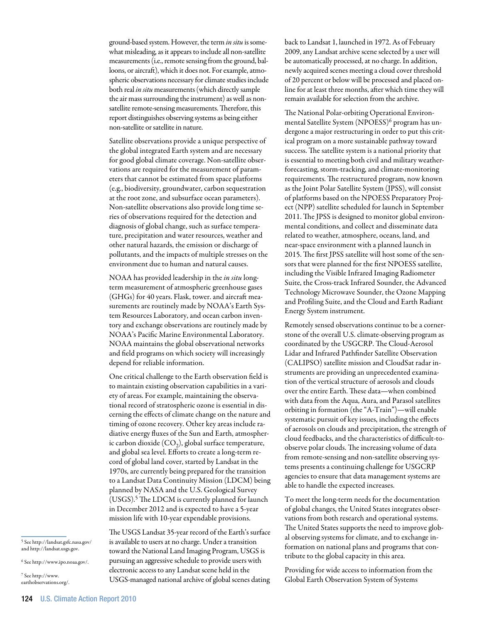ground-based system. However, the term *in situ* is somewhat misleading, as it appears to include all non-satellite measurements (i.e., remote sensing from the ground, balloons, or aircraft), which it does not. For example, atmospheric observations necessary for climate studies include both real *in situ* measurements (which directly sample the air mass surrounding the instrument) as well as nonsatellite remote-sensing measurements. Therefore, this report distinguishes observing systems as being either non-satellite or satellite in nature.

Satellite observations provide a unique perspective of the global integrated Earth system and are necessary for good global climate coverage. Non-satellite observations are required for the measurement of parameters that cannot be estimated from space platforms (e.g., biodiversity, groundwater, carbon sequestration at the root zone, and subsurface ocean parameters). Non-satellite observations also provide long time series of observations required for the detection and diagnosis of global change, such as surface temperature, precipitation and water resources, weather and other natural hazards, the emission or discharge of pollutants, and the impacts of multiple stresses on the environment due to human and natural causes.

NOAA has provided leadership in the *in situ* longterm measurement of atmospheric greenhouse gases (GHGs) for 40 years. Flask, tower. and aircraft measurements are routinely made by NOAA's Earth System Resources Laboratory, and ocean carbon inventory and exchange observations are routinely made by NOAA's Pacific Marine Environmental Laboratory. NOAA maintains the global observational networks and field programs on which society will increasingly depend for reliable information.

One critical challenge to the Earth observation field is to maintain existing observation capabilities in a variety of areas. For example, maintaining the observational record of stratospheric ozone is essential in discerning the effects of climate change on the nature and timing of ozone recovery. Other key areas include radiative energy fluxes of the Sun and Earth, atmospheric carbon dioxide  $(CO_2)$ , global surface temperature, and global sea level. Efforts to create a long-term record of global land cover, started by Landsat in the 1970s, are currently being prepared for the transition to a Landsat Data Continuity Mission (LDCM) being planned by NASA and the U.S. Geological Survey (USGS).5 The LDCM is currently planned for launch in December 2012 and is expected to have a 5-year mission life with 10-year expendable provisions.

5 See http://landsat.gsfc.nasa.gov/ and http://landsat.usgs.gov.

6 See http://www.ipo.noaa.gov/.

7 See http://www. earthobservations.org/. back to Landsat 1, launched in 1972. As of February 2009, any Landsat archive scene selected by a user will be automatically processed, at no charge. In addition, newly acquired scenes meeting a cloud cover threshold of 20 percent or below will be processed and placed online for at least three months, after which time they will remain available for selection from the archive.

The National Polar-orbiting Operational Environmental Satellite System (NPOESS)<sup>6</sup> program has undergone a major restructuring in order to put this critical program on a more sustainable pathway toward success. The satellite system is a national priority that is essential to meeting both civil and military weatherforecasting, storm-tracking, and climate-monitoring requirements. The restructured program, now known as the Joint Polar Satellite System (JPSS), will consist of platforms based on the NPOESS Preparatory Project (NPP) satellite scheduled for launch in September 2011. The JPSS is designed to monitor global environmental conditions, and collect and disseminate data related to weather, atmosphere, oceans, land, and near-space environment with a planned launch in 2015. The first JPSS satellite will host some of the sensors that were planned for the first NPOESS satellite, including the Visible Infrared Imaging Radiometer Suite, the Cross-track Infrared Sounder, the Advanced Technology Microwave Sounder, the Ozone Mapping and Profiling Suite, and the Cloud and Earth Radiant Energy System instrument.

Remotely sensed observations continue to be a cornerstone of the overall U.S. climate-observing program as coordinated by the USGCRP. The Cloud-Aerosol Lidar and Infrared Pathfinder Satellite Observation (CALIPSO) satellite mission and CloudSat radar instruments are providing an unprecedented examination of the vertical structure of aerosols and clouds over the entire Earth. These data—when combined with data from the Aqua, Aura, and Parasol satellites orbiting in formation (the "A-Train")—will enable systematic pursuit of key issues, including the effects of aerosols on clouds and precipitation, the strength of cloud feedbacks, and the characteristics of difficult-toobserve polar clouds. The increasing volume of data from remote-sensing and non-satellite observing systems presents a continuing challenge for USGCRP agencies to ensure that data management systems are able to handle the expected increases.

To meet the long-term needs for the documentation of global changes, the United States integrates observations from both research and operational systems. The United States supports the need to improve global observing systems for climate, and to exchange information on national plans and programs that contribute to the global capacity in this area.

Providing for wide access to information from the Global Earth Observation System of Systems

The USGS Landsat 35-year record of the Earth's surface is available to users at no charge. Under a transition toward the National Land Imaging Program, USGS is pursuing an aggressive schedule to provide users with electronic access to any Landsat scene held in the USGS-managed national archive of global scenes dating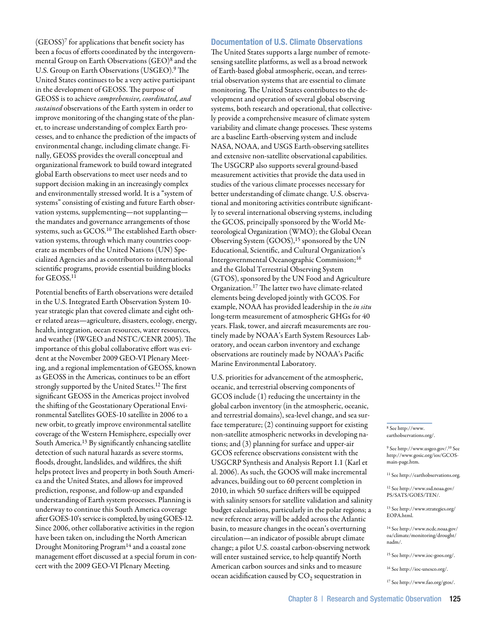(GEOSS)7 for applications that benefit society has been a focus of efforts coordinated by the intergovernmental Group on Earth Observations (GEO)8 and the U.S. Group on Earth Observations (USGEO).9 The United States continues to be a very active participant in the development of GEOSS. The purpose of GEOSS is to achieve *comprehensive, coordinated, and sustained* observations of the Earth system in order to improve monitoring of the changing state of the planet, to increase understanding of complex Earth processes, and to enhance the prediction of the impacts of environmental change, including climate change. Finally, GEOSS provides the overall conceptual and organizational framework to build toward integrated global Earth observations to meet user needs and to support decision making in an increasingly complex and environmentally stressed world. It is a "system of systems" consisting of existing and future Earth observation systems, supplementing—not supplanting the mandates and governance arrangements of those systems, such as GCOS.10 The established Earth observation systems, through which many countries cooperate as members of the United Nations (UN) Specialized Agencies and as contributors to international scientific programs, provide essential building blocks for GEOSS.<sup>11</sup>

Potential benefits of Earth observations were detailed in the U.S. Integrated Earth Observation System 10 year strategic plan that covered climate and eight other related areas—agriculture, disasters, ecology, energy, health, integration, ocean resources, water resources, and weather (IWGEO and NSTC/CENR 2005). The importance of this global collaborative effort was evident at the November 2009 GEO-VI Plenary Meeting, and a regional implementation of GEOSS, known as GEOSS in the Americas*,* continues to be an effort strongly supported by the United States.<sup>12</sup> The first significant GEOSS in the Americas project involved the shifting of the Geostationary Operational Environmental Satellites GOES-10 satellite in 2006 to a new orbit, to greatly improve environmental satellite coverage of the Western Hemisphere, especially over South America.13 By significantly enhancing satellite detection of such natural hazards as severe storms, floods, drought, landslides, and wildfires, the shift helps protect lives and property in both South America and the United States, and allows for improved prediction, response, and follow-up and expanded understanding of Earth system processes. Planning is underway to continue this South America coverage after GOES-10's service is completed, by using GOES-12. Since 2006, other collaborative activities in the region have been taken on, including the North American Drought Monitoring Program<sup>14</sup> and a coastal zone management effort discussed at a special forum in concert with the 2009 GEO-VI Plenary Meeting.

#### Documentation of U.S. Climate Observations

The United States supports a large number of remotesensing satellite platforms, as well as a broad network of Earth-based global atmospheric, ocean, and terrestrial observation systems that are essential to climate monitoring. The United States contributes to the development and operation of several global observing systems, both research and operational, that collectively provide a comprehensive measure of climate system variability and climate change processes. These systems are a baseline Earth-observing system and include NASA, NOAA, and USGS Earth-observing satellites and extensive non-satellite observational capabilities. The USGCRP also supports several ground-based measurement activities that provide the data used in studies of the various climate processes necessary for better understanding of climate change. U.S. observational and monitoring activities contribute significantly to several international observing systems, including the GCOS, principally sponsored by the World Meteorological Organization (WMO); the Global Ocean Observing System (GOOS),<sup>15</sup> sponsored by the UN Educational, Scientific, and Cultural Organization's Intergovernmental Oceanographic Commission;16 and the Global Terrestrial Observing System (GTOS), sponsored by the UN Food and Agriculture Organization.17 The latter two have climate-related elements being developed jointly with GCOS. For example, NOAA has provided leadership in the *in situ* long-term measurement of atmospheric GHGs for 40 years. Flask, tower, and aircraft measurements are routinely made by NOAA's Earth System Resources Laboratory, and ocean carbon inventory and exchange observations are routinely made by NOAA's Pacific Marine Environmental Laboratory.

U.S. priorities for advancement of the atmospheric, oceanic, and terrestrial observing components of GCOS include (1) reducing the uncertainty in the global carbon inventory (in the atmospheric, oceanic, and terrestrial domains), sea-level change, and sea surface temperature; (2) continuing support for existing non-satellite atmospheric networks in developing nations; and (3) planning for surface and upper-air GCOS reference observations consistent with the USGCRP Synthesis and Analysis Report 1.1 (Karl et al. 2006). As such, the GOOS will make incremental advances, building out to 60 percent completion in 2010, in which 50 surface drifters will be equipped with salinity sensors for satellite validation and salinity budget calculations, particularly in the polar regions; a new reference array will be added across the Atlantic basin, to measure changes in the ocean's overturning circulation—an indicator of possible abrupt climate change; a pilot U.S. coastal carbon-observing network will enter sustained service, to help quantify North American carbon sources and sinks and to measure ocean acidification caused by  $CO<sub>2</sub>$  sequestration in

8 See http://www. earthobservations.org/.

9 See http://www.usgeo.gov/.10 See http://www.gosic.org/ios/GCOSmain-page.htm.

11 See http://earthobservations.org.

12 See http://www.ssd.noaa.gov/ PS/SATS/GOES/TEN/.

13 See http://www.strategies.org/ EOPA.html.

14 See http://www.ncdc.noaa.gov/ oa/climate/monitoring/drought/ nadm/.

15 See http://www.ioc-goos.org/.

16 See http://ioc-unesco.org/.

17 See http://www.fao.org/gtos/.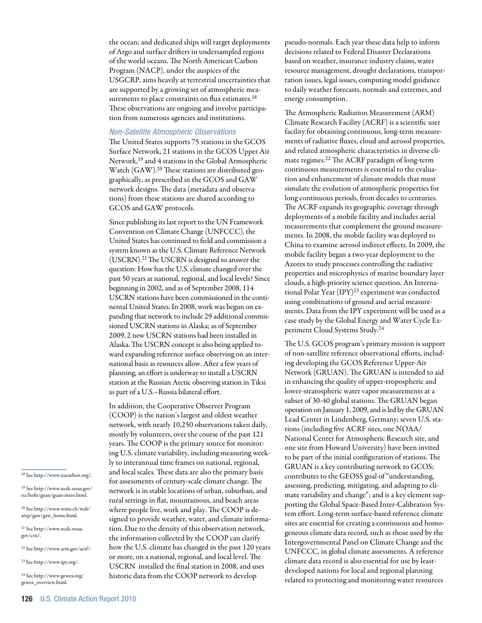the ocean; and dedicated ships will target deployments of Argo and surface drifters in undersampled regions of the world oceans. The North American Carbon Program (NACP), under the auspices of the USGCRP, aims heavily at terrestrial uncertainties that are supported by a growing set of atmospheric measurements to place constraints on flux estimates.<sup>18</sup> These observations are ongoing and involve participation from numerous agencies and institutions.

#### *Non-Satellite Atmospheric Observations*

The United States supports 75 stations in the GCOS Surface Network, 21 stations in the GCOS Upper Air Network,19 and 4 stations in the Global Atmospheric Watch (GAW).20 These stations are distributed geographically, as prescribed in the GCOS and GAW network designs. The data (metadata and observations) from these stations are shared according to GCOS and GAW protocols.

Since publishing its last report to the UN Framework Convention on Climate Change (UNFCCC), the United States has continued to field and commission a system known as the U.S. Climate Reference Network (USCRN).21 The USCRN is designed to answer the question: How has the U.S. climate changed over the past 50 years at national, regional, and local levels? Since beginning in 2002, and as of September 2008, 114 USCRN stations have been commissioned in the continental United States. In 2008, work was begun on expanding that network to include 29 additional commissioned USCRN stations in Alaska; as of September 2009, 2 new USCRN stations had been installed in Alaska. The USCRN concept is also being applied toward expanding reference surface observing on an international basis as resources allow. After a few years of planning, an effort is underway to install a USCRN station at the Russian Arctic observing station in Tiksi as part of a U.S.–Russia bilateral effort.

In addition, the Cooperative Observer Program (COOP) is the nation's largest and oldest weather network, with nearly 10,250 observations taken daily, mostly by volunteers, over the course of the past 121 years. The COOP is the primary source for monitoring U.S. climate variability, including measuring weekly to interannual time frames on national, regional, and local scales. These data are also the primary basis for assessments of century-scale climate change. The network is in stable locations of urban, suburban, and rural settings in flat, mountainous, and beach areas where people live, work and play. The COOP is designed to provide weather, water, and climate information. Due to the density of this observation network, the information collected by the COOP can clarify how the U.S. climate has changed in the past 120 years or more, on a national, regional, and local level. The USCRN installed the final station in 2008, and uses historic data from the COOP network to develop

pseudo-normals. Each year these data help to inform decisions related to Federal Disaster Declarations based on weather, insurance industry claims, water resource management, drought declarations, transportation issues, legal issues, computing model guidance to daily weather forecasts, normals and extremes, and energy consumption.

The Atmospheric Radiation Measurement (ARM) Climate Research Facility (ACRF) is a scientific user facility for obtaining continuous, long-term measurements of radiative fluxes, cloud and aerosol properties, and related atmospheric characteristics in diverse climate regimes.22 The ACRF paradigm of long-term continuous measurements is essential to the evaluation and enhancement of climate models that must simulate the evolution of atmospheric properties for long continuous periods, from decades to centuries. The ACRF expands its geographic coverage through deployments of a mobile facility and includes aerial measurements that complement the ground measurements. In 2008, the mobile facility was deployed to China to examine aerosol indirect effects. In 2009, the mobile facility began a two-year deployment to the Azores to study processes controlling the radiative properties and microphysics of marine boundary layer clouds, a high-priority science question. An International Polar Year (IPY)23 experiment was conducted using combinations of ground and aerial measurements. Data from the IPY experiment will be used as a case study by the Global Energy and Water Cycle Experiment Cloud Systems Study.24

The U.S. GCOS program's primary mission is support of non-satellite reference observational efforts, including developing the GCOS Reference Upper-Air Network (GRUAN). The GRUAN is intended to aid in enhancing the quality of upper-tropospheric and lower-stratospheric water vapor measurements at a subset of 30-40 global stations. The GRUAN began operation on January 1, 2009, and is led by the GRUAN Lead Center in Lindenberg, Germany; seven U.S. stations (including five ACRF sites, one NOAA/ National Center for Atmospheric Research site, and one site from Howard University) have been invited to be part of the initial configuration of stations. The GRUAN is a key contributing network to GCOS; contributes to the GEOSS goal of "understanding, assessing, predicting, mitigating, and adapting to climate variability and change"; and is a key element supporting the Global Space-Based Inter-Calibration System effort. Long-term surface-based reference climate sites are essential for creating a continuous and homogeneous climate data record, such as those used by the Intergovernmental Panel on Climate Change and the UNFCCC, in global climate assessments. A reference climate data record is also essential for use by leastdeveloped nations for local and regional planning related to protecting and monitoring water resources

18 See http://www.nacarbon.org/.

19 See http://www.ncdc.noaa.gov/ oa/hofn/guan/guan-intro.html.

20 See http://www.wmo.ch/web/ arep/gaw/gaw\_home.html.

21 See http://www.ncdc.noaa. gov/crn/.

22 See http://www.arm.gov/acrf/.

23 See http://www.ipy.org/.

 $^{\rm 24}$  See http://www.gewex.org/ gewex\_overview.html.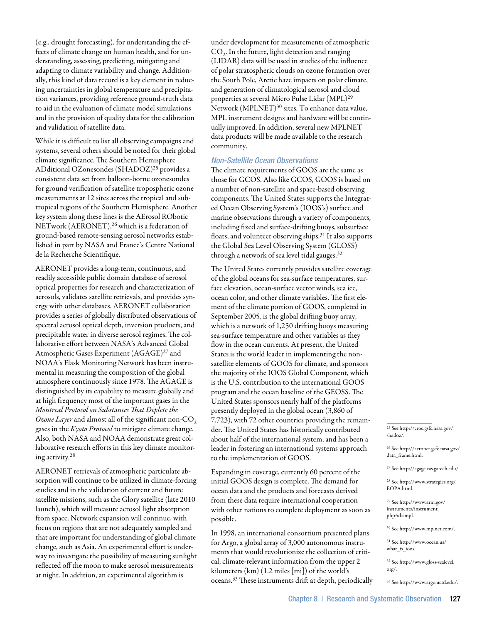(e.g., drought forecasting), for understanding the effects of climate change on human health, and for understanding, assessing, predicting, mitigating and adapting to climate variability and change. Additionally, this kind of data record is a key element in reducing uncertainties in global temperature and precipitation variances, providing reference ground-truth data to aid in the evaluation of climate model simulations and in the provision of quality data for the calibration and validation of satellite data.

While it is difficult to list all observing campaigns and systems, several others should be noted for their global climate significance. The Southern Hemisphere ADditional OZonesondes (SHADOZ)25 provides a consistent data set from balloon-borne ozonesondes for ground verification of satellite tropospheric ozone measurements at 12 sites across the tropical and subtropical regions of the Southern Hemisphere. Another key system along these lines is the AErosol RObotic NETwork (AERONET),<sup>26</sup> which is a federation of ground-based remote-sensing aerosol networks established in part by NASA and France's Centre National de la Recherche Scientifique.

AERONET provides a long-term, continuous, and readily accessible public domain database of aerosol optical properties for research and characterization of aerosols, validates satellite retrievals, and provides synergy with other databases. AERONET collaboration provides a series of globally distributed observations of spectral aerosol optical depth, inversion products, and precipitable water in diverse aerosol regimes. The collaborative effort between NASA's Advanced Global Atmospheric Gases Experiment (AGAGE)<sup>27</sup> and NOAA's Flask Monitoring Network has been instrumental in measuring the composition of the global atmosphere continuously since 1978. The AGAGE is distinguished by its capability to measure globally and at high frequency most of the important gases in the *Montreal Protocol on Substances That Deplete the Ozone Layer* and almost all of the significant non-CO<sub>2</sub> gases in the *Kyoto Protocol* to mitigate climate change. Also, both NASA and NOAA demonstrate great collaborative research efforts in this key climate monitoring activity.28

AERONET retrievals of atmospheric particulate absorption will continue to be utilized in climate-forcing studies and in the validation of current and future satellite missions, such as the Glory satellite (late 2010 launch), which will measure aerosol light absorption from space. Network expansion will continue, with focus on regions that are not adequately sampled and that are important for understanding of global climate change, such as Asia. An experimental effort is underway to investigate the possibility of measuring sunlight reflected off the moon to make aerosol measurements at night. In addition, an experimental algorithm is

under development for measurements of atmospheric  $CO<sub>2</sub>$ . In the future, light detection and ranging (LIDAR) data will be used in studies of the influence of polar stratospheric clouds on ozone formation over the South Pole, Arctic haze impacts on polar climate, and generation of climatological aerosol and cloud properties at several Micro Pulse Lidar (MPL)29 Network (MPLNET)<sup>30</sup> sites. To enhance data value, MPL instrument designs and hardware will be continually improved. In addition, several new MPLNET data products will be made available to the research community.

# *Non-Satellite Ocean Observations*

The climate requirements of GOOS are the same as those for GCOS. Also like GCOS, GOOS is based on a number of non-satellite and space-based observing components. The United States supports the Integrated Ocean Observing System's (IOOS's) surface and marine observations through a variety of components, including fixed and surface-drifting buoys, subsurface floats, and volunteer observing ships.<sup>31</sup> It also supports the Global Sea Level Observing System (GLOSS) through a network of sea level tidal gauges.32

The United States currently provides satellite coverage of the global oceans for sea-surface temperatures, surface elevation, ocean-surface vector winds, sea ice, ocean color, and other climate variables. The first element of the climate portion of GOOS, completed in September 2005, is the global drifting buoy array, which is a network of 1,250 drifting buoys measuring sea-surface temperature and other variables as they flow in the ocean currents. At present, the United States is the world leader in implementing the nonsatellite elements of GOOS for climate, and sponsors the majority of the IOOS Global Component, which is the U.S. contribution to the international GOOS program and the ocean baseline of the GEOSS. The United States sponsors nearly half of the platforms presently deployed in the global ocean (3,860 of 7,723), with 72 other countries providing the remainder. The United States has historically contributed about half of the international system, and has been a leader in fostering an international systems approach to the implementation of GOOS.

Expanding in coverage, currently 60 percent of the initial GOOS design is complete. The demand for ocean data and the products and forecasts derived from these data require international cooperation with other nations to complete deployment as soon as possible.

In 1998, an international consortium presented plans for Argo, a global array of 3,000 autonomous instruments that would revolutionize the collection of critical, climate-relevant information from the upper 2 kilometers (km) (1.2 miles [mi]) of the world's oceans.33 These instruments drift at depth, periodically 25 See http://croc.gsfc.nasa.gov/ shadoz/.

26 See http://aeronet.gsfc.nasa.gov/ data\_frame.html.

27 See http://agage.eas.gatech.edu/.

28 See http://www.strategies.org/ EOPA.html.

29 See http://www.arm.gov/ instruments/instrument. php?id=mpl.

30 See http://www.mplnet.com/.

31 See http://www.ocean.us/ what\_is\_ioos.

32 See http://www.gloss-sealevel. org/.

33 See http://www.argo.ucsd.edu/.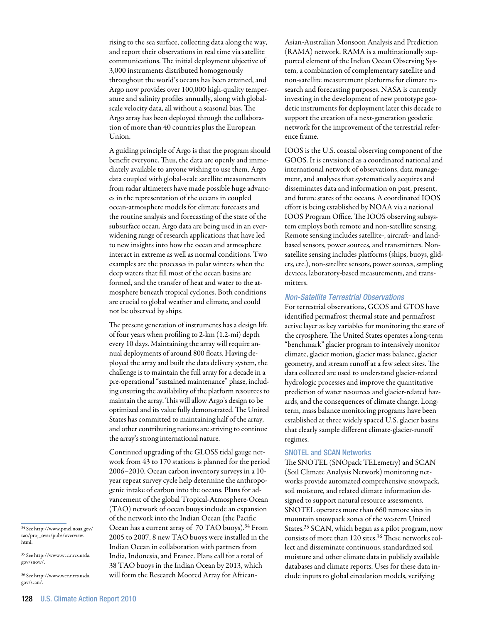rising to the sea surface, collecting data along the way, and report their observations in real time via satellite communications. The initial deployment objective of 3,000 instruments distributed homogenously throughout the world's oceans has been attained, and Argo now provides over 100,000 high-quality temperature and salinity profiles annually, along with globalscale velocity data, all without a seasonal bias. The Argo array has been deployed through the collaboration of more than 40 countries plus the European Union.

A guiding principle of Argo is that the program should benefit everyone. Thus, the data are openly and immediately available to anyone wishing to use them. Argo data coupled with global-scale satellite measurements from radar altimeters have made possible huge advances in the representation of the oceans in coupled ocean-atmosphere models for climate forecasts and the routine analysis and forecasting of the state of the subsurface ocean. Argo data are being used in an everwidening range of research applications that have led to new insights into how the ocean and atmosphere interact in extreme as well as normal conditions. Two examples are the processes in polar winters when the deep waters that fill most of the ocean basins are formed, and the transfer of heat and water to the atmosphere beneath tropical cyclones. Both conditions are crucial to global weather and climate, and could not be observed by ships.

The present generation of instruments has a design life of four years when profiling to 2-km (1.2-mi) depth every 10 days. Maintaining the array will require annual deployments of around 800 floats. Having deployed the array and built the data delivery system, the challenge is to maintain the full array for a decade in a pre-operational "sustained maintenance" phase, including ensuring the availability of the platform resources to maintain the array. This will allow Argo's design to be optimized and its value fully demonstrated. The United States has committed to maintaining half of the array, and other contributing nations are striving to continue the array's strong international nature.

Continued upgrading of the GLOSS tidal gauge network from 43 to 170 stations is planned for the period 2006–2010. Ocean carbon inventory surveys in a 10 year repeat survey cycle help determine the anthropogenic intake of carbon into the oceans. Plans for advancement of the global Tropical-Atmosphere-Ocean (TAO) network of ocean buoys include an expansion of the network into the Indian Ocean (the Pacific Ocean has a current array of 70 TAO buoys).34 From 2005 to 2007, 8 new TAO buoys were installed in the Indian Ocean in collaboration with partners from India, Indonesia, and France. Plans call for a total of 38 TAO buoys in the Indian Ocean by 2013, which will form the Research Moored Array for AfricanAsian-Australian Monsoon Analysis and Prediction (RAMA) network. RAMA is a multinationally supported element of the Indian Ocean Observing System, a combination of complementary satellite and non-satellite measurement platforms for climate research and forecasting purposes. NASA is currently investing in the development of new prototype geodetic instruments for deployment later this decade to support the creation of a next-generation geodetic network for the improvement of the terrestrial reference frame.

IOOS is the U.S. coastal observing component of the GOOS. It is envisioned as a coordinated national and international network of observations, data management, and analyses that systematically acquires and disseminates data and information on past, present, and future states of the oceans. A coordinated IOOS effort is being established by NOAA via a national IOOS Program Office. The IOOS observing subsystem employs both remote and non-satellite sensing. Remote sensing includes satellite-, aircraft- and landbased sensors, power sources, and transmitters. Nonsatellite sensing includes platforms (ships, buoys, gliders, etc.), non-satellite sensors, power sources, sampling devices, laboratory-based measurements, and transmitters.

#### *Non-Satellite Terrestrial Observations*

For terrestrial observations, GCOS and GTOS have identified permafrost thermal state and permafrost active layer as key variables for monitoring the state of the cryosphere. The United States operates a long-term "benchmark" glacier program to intensively monitor climate, glacier motion, glacier mass balance, glacier geometry, and stream runoff at a few select sites. The data collected are used to understand glacier-related hydrologic processes and improve the quantitative prediction of water resources and glacier-related hazards, and the consequences of climate change. Longterm, mass balance monitoring programs have been established at three widely spaced U.S. glacier basins that clearly sample different climate-glacier-runoff regimes.

#### SNOTEL and SCAN Networks

The SNOTEL (SNOpack TELemetry) and SCAN (Soil Climate Analysis Network) monitoring networks provide automated comprehensive snowpack, soil moisture, and related climate information designed to support natural resource assessments. SNOTEL operates more than 660 remote sites in mountain snowpack zones of the western United States.35 SCAN, which began as a pilot program, now consists of more than 120 sites.36 These networks collect and disseminate continuous, standardized soil moisture and other climate data in publicly available databases and climate reports. Uses for these data include inputs to global circulation models, verifying

36 See http://www.wcc.nrcs.usda. gov/scan/.

<sup>34</sup> See http://www.pmel.noaa.gov/ tao/proj\_over/pubs/overview. html.

<sup>35</sup> See http://www.wcc.nrcs.usda. gov/snow/.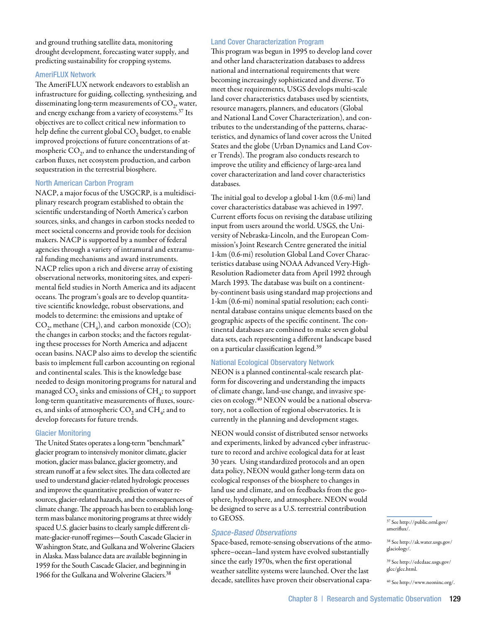and ground truthing satellite data, monitoring drought development, forecasting water supply, and predicting sustainability for cropping systems.

## AmeriFLUX Network

The AmeriFLUX network endeavors to establish an infrastructure for guiding, collecting, synthesizing, and disseminating long-term measurements of  $CO<sub>2</sub>$ , water, and energy exchange from a variety of ecosystems.<sup>37</sup> Its objectives are to collect critical new information to help define the current global CO<sub>2</sub> budget, to enable improved projections of future concentrations of atmospheric  $CO<sub>2</sub>$ , and to enhance the understanding of carbon fluxes, net ecosystem production, and carbon sequestration in the terrestrial biosphere.

#### North American Carbon Program

NACP, a major focus of the USGCRP, is a multidisciplinary research program established to obtain the scientific understanding of North America's carbon sources, sinks, and changes in carbon stocks needed to meet societal concerns and provide tools for decision makers. NACP is supported by a number of federal agencies through a variety of intramural and extramural funding mechanisms and award instruments. NACP relies upon a rich and diverse array of existing observational networks, monitoring sites, and experimental field studies in North America and its adjacent oceans. The program's goals are to develop quantitative scientific knowledge, robust observations, and models to determine: the emissions and uptake of  $CO<sub>2</sub>$ , methane (CH<sub>4</sub>), and carbon monoxide (CO); the changes in carbon stocks; and the factors regulating these processes for North America and adjacent ocean basins. NACP also aims to develop the scientific basis to implement full carbon accounting on regional and continental scales. This is the knowledge base needed to design monitoring programs for natural and managed  $CO<sub>2</sub>$  sinks and emissions of  $CH<sub>4</sub>$ ; to support long-term quantitative measurements of fluxes, sources, and sinks of atmospheric  $CO<sub>2</sub>$  and  $CH<sub>4</sub>$ ; and to develop forecasts for future trends.

#### Glacier Monitoring

The United States operates a long-term "benchmark" glacier program to intensively monitor climate, glacier motion, glacier mass balance, glacier geometry, and stream runoff at a few select sites. The data collected are used to understand glacier-related hydrologic processes and improve the quantitative prediction of water resources, glacier-related hazards, and the consequences of climate change. The approach has been to establish longterm mass balance monitoring programs at three widely spaced U.S. glacier basins to clearly sample different climate-glacier-runoff regimes—South Cascade Glacier in Washington State, and Gulkana and Wolverine Glaciers in Alaska. Mass balance data are available beginning in 1959 for the South Cascade Glacier, and beginning in 1966 for the Gulkana and Wolverine Glaciers.38

#### Land Cover Characterization Program

This program was begun in 1995 to develop land cover and other land characterization databases to address national and international requirements that were becoming increasingly sophisticated and diverse. To meet these requirements, USGS develops multi-scale land cover characteristics databases used by scientists, resource managers, planners, and educators (Global and National Land Cover Characterization), and contributes to the understanding of the patterns, characteristics, and dynamics of land cover across the United States and the globe (Urban Dynamics and Land Cover Trends). The program also conducts research to improve the utility and efficiency of large-area land cover characterization and land cover characteristics databases.

The initial goal to develop a global 1-km (0.6-mi) land cover characteristics database was achieved in 1997. Current efforts focus on revising the database utilizing input from users around the world. USGS, the University of Nebraska-Lincoln, and the European Commission's Joint Research Centre generated the initial 1-km (0.6-mi) resolution Global Land Cover Characteristics database using NOAA Advanced Very-High-Resolution Radiometer data from April 1992 through March 1993. The database was built on a continentby-continent basis using standard map projections and 1-km (0.6-mi) nominal spatial resolution; each continental database contains unique elements based on the geographic aspects of the specific continent. The continental databases are combined to make seven global data sets, each representing a different landscape based on a particular classification legend.39

## National Ecological Observatory Network

NEON is a planned continental-scale research platform for discovering and understanding the impacts of climate change, land-use change, and invasive species on ecology.40 NEON would be a national observatory, not a collection of regional observatories. It is currently in the planning and development stages.

NEON would consist of distributed sensor networks and experiments, linked by advanced cyber infrastructure to record and archive ecological data for at least 30 years. Using standardized protocols and an open data policy, NEON would gather long-term data on ecological responses of the biosphere to changes in land use and climate, and on feedbacks from the geosphere, hydrosphere, and atmosphere. NEON would be designed to serve as a U.S. terrestrial contribution to GEOSS.

## *Space-Based Observations*

Space-based, remote-sensing observations of the atmosphere–ocean–land system have evolved substantially since the early 1970s, when the first operational weather satellite systems were launched. Over the last decade, satellites have proven their observational capa-

39 See http://edcdaac.usgs.gov/ glcc/glcc.html.

40 See http://www.neoninc.org/.

<sup>37</sup> See http://public.ornl.gov/ ameriflux/.

<sup>38</sup> See http://ak.water.usgs.gov/ glaciology/.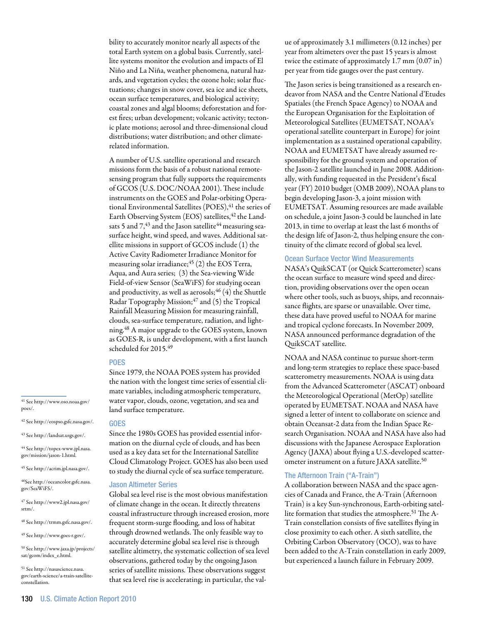bility to accurately monitor nearly all aspects of the total Earth system on a global basis. Currently, satellite systems monitor the evolution and impacts of El Niño and La Niña, weather phenomena, natural hazards, and vegetation cycles; the ozone hole; solar fluctuations; changes in snow cover, sea ice and ice sheets, ocean surface temperatures, and biological activity; coastal zones and algal blooms; deforestation and forest fires; urban development; volcanic activity; tectonic plate motions; aerosol and three-dimensional cloud distributions; water distribution; and other climaterelated information.

A number of U.S. satellite operational and research missions form the basis of a robust national remotesensing program that fully supports the requirements of GCOS (U.S. DOC/NOAA 2001). These include instruments on the GOES and Polar-orbiting Operational Environmental Satellites (POES), <sup>41</sup> the series of Earth Observing System (EOS) satellites, <sup>42</sup> the Landsats 5 and  $7,43$  and the Jason satellite<sup>44</sup> measuring seasurface height, wind speed, and waves. Additional satellite missions in support of GCOS include (1) the Active Cavity Radiometer Irradiance Monitor for measuring solar irradiance; $45$  (2) the EOS Terra, Aqua, and Aura series; (3) the Sea-viewing Wide Field-of-view Sensor (SeaWiFS) for studying ocean and productivity, as well as aerosols;  $46(4)$  the Shuttle Radar Topography Mission; $47$  and (5) the Tropical Rainfall Measuring Mission for measuring rainfall, clouds, sea-surface temperature, radiation, and lightning.48 A major upgrade to the GOES system, known as GOES-R, is under development, with a first launch scheduled for 2015.49

#### **POES**

Since 1979, the NOAA POES system has provided the nation with the longest time series of essential climate variables, including atmospheric temperature, water vapor, clouds, ozone, vegetation, and sea and land surface temperature.

 $\rm ^{41}$  See http://www.oso.noaa.gov/ poes/.

42 See http://eospso.gsfc.nasa.gov/.

43 See http://landsat.usgs.gov/.

44 See http://topex-www.jpl.nasa. gov/mission/jason-1.html.

45 See http://acrim.jpl.nasa.gov/.

46See http://oceancolor.gsfc.nasa. gov/SeaWiFS/.

47 See http://www2.jpl.nasa.gov/ srtm/.

48 See http://trmm.gsfc.nasa.gov/.

49 See http://www.goes-r.gov/.

50 See http://www.jaxa.jp/projects/ sat/gcom/index\_e.html.

51 See http://nasascience.nasa. gov/earth-science/a-train-satelliteconstellation.

#### **GOES**

Since the 1980s GOES has provided essential information on the diurnal cycle of clouds, and has been used as a key data set for the International Satellite Cloud Climatology Project. GOES has also been used to study the diurnal cycle of sea surface temperature.

#### Jason Altimeter Series

Global sea level rise is the most obvious manifestation of climate change in the ocean. It directly threatens coastal infrastructure through increased erosion, more frequent storm-surge flooding, and loss of habitat through drowned wetlands. The only feasible way to accurately determine global sea level rise is through satellite altimetry, the systematic collection of sea level observations, gathered today by the ongoing Jason series of satellite missions. These observations suggest that sea level rise is accelerating; in particular, the value of approximately 3.1 millimeters (0.12 inches) per year from altimeters over the past 15 years is almost twice the estimate of approximately 1.7 mm (0.07 in) per year from tide gauges over the past century.

The Jason series is being transitioned as a research endeavor from NASA and the Centre National d'Etudes Spatiales (the French Space Agency) to NOAA and the European Organisation for the Exploitation of Meteorological Satellites (EUMETSAT, NOAA's operational satellite counterpart in Europe) for joint implementation as a sustained operational capability. NOAA and EUMETSAT have already assumed responsibility for the ground system and operation of the Jason-2 satellite launched in June 2008. Additionally, with funding requested in the President's fiscal year (FY) 2010 budget (OMB 2009), NOAA plans to begin developing Jason-3, a joint mission with EUMETSAT. Assuming resources are made available on schedule, a joint Jason-3 could be launched in late 2013, in time to overlap at least the last 6 months of the design life of Jason-2, thus helping ensure the continuity of the climate record of global sea level.

## Ocean Surface Vector Wind Measurements

NASA's QuikSCAT (or Quick Scatterometer) scans the ocean surface to measure wind speed and direction, providing observations over the open ocean where other tools, such as buoys, ships, and reconnaissance flights, are sparse or unavailable. Over time, these data have proved useful to NOAA for marine and tropical cyclone forecasts. In November 2009, NASA announced performance degradation of the QuikSCAT satellite.

NOAA and NASA continue to pursue short-term and long-term strategies to replace these space-based scatterometry measurements. NOAA is using data from the Advanced Scatterometer (ASCAT) onboard the Meteorological Operational (MetOp) satellite operated by EUMETSAT. NOAA and NASA have signed a letter of intent to collaborate on science and obtain Oceansat-2 data from the Indian Space Research Organisation. NOAA and NASA have also had discussions with the Japanese Aerospace Exploration Agency (JAXA) about flying a U.S.-developed scatterometer instrument on a future JAXA satellite.<sup>50</sup>

#### The Afternoon Train ("A-Train")

A collaboration between NASA and the space agencies of Canada and France, the A-Train (Afternoon Train) is a key Sun-synchronous, Earth-orbiting satellite formation that studies the atmosphere.51 The A-Train constellation consists of five satellites flying in close proximity to each other. A sixth satellite, the Orbiting Carbon Observatory (OCO), was to have been added to the A-Train constellation in early 2009, but experienced a launch failure in February 2009.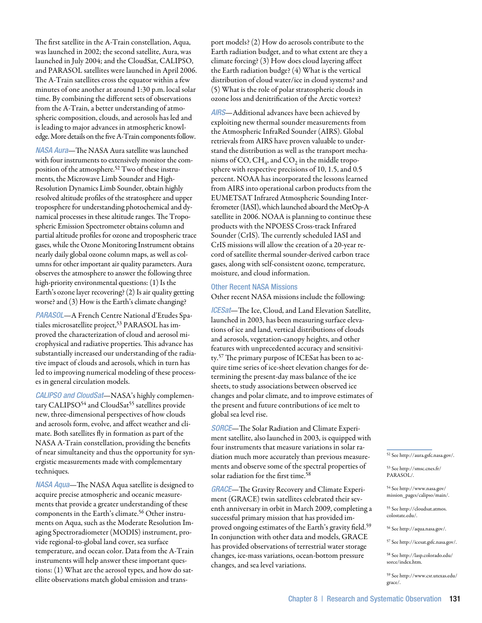The first satellite in the A-Train constellation, Aqua, was launched in 2002; the second satellite, Aura, was launched in July 2004; and the CloudSat, CALIPSO, and PARASOL satellites were launched in April 2006. The A-Train satellites cross the equator within a few minutes of one another at around 1:30 p.m. local solar time. By combining the different sets of observations from the A-Train, a better understanding of atmospheric composition, clouds, and aerosols has led and is leading to major advances in atmospheric knowledge. More details on the five A-Train components follow.

*NASA Aura*—The NASA Aura satellite was launched with four instruments to extensively monitor the composition of the atmosphere.<sup>52</sup> Two of these instruments, the Microwave Limb Sounder and High-Resolution Dynamics Limb Sounder, obtain highly resolved altitude profiles of the stratosphere and upper troposphere for understanding photochemical and dynamical processes in these altitude ranges. The Tropospheric Emission Spectrometer obtains column and partial altitude profiles for ozone and tropospheric trace gases, while the Ozone Monitoring Instrument obtains nearly daily global ozone column maps, as well as columns for other important air quality parameters. Aura observes the atmosphere to answer the following three high-priority environmental questions: (1) Is the Earth's ozone layer recovering? (2) Is air quality getting worse? and (3) How is the Earth's climate changing?

*PARASOL*—A French Centre National d'Etudes Spatiales microsatellite project,<sup>53</sup> PARASOL has improved the characterization of cloud and aerosol microphysical and radiative properties. This advance has substantially increased our understanding of the radiative impact of clouds and aerosols, which in turn has led to improving numerical modeling of these processes in general circulation models.

*CALIPSO and CloudSat*—NASA's highly complementary CALIPSO<sup>54</sup> and CloudSat<sup>55</sup> satellites provide new, three-dimensional perspectives of how clouds and aerosols form, evolve, and affect weather and climate. Both satellites fly in formation as part of the NASA A-Train constellation, providing the benefits of near simultaneity and thus the opportunity for synergistic measurements made with complementary techniques.

*NASA Aqua*—The NASA Aqua satellite is designed to acquire precise atmospheric and oceanic measurements that provide a greater understanding of these components in the Earth's climate.56 Other instruments on Aqua, such as the Moderate Resolution Imaging Spectroradiometer (MODIS) instrument, provide regional-to-global land cover, sea surface temperature, and ocean color. Data from the A-Train instruments will help answer these important questions: (1) What are the aerosol types, and how do satellite observations match global emission and transport models? (2) How do aerosols contribute to the Earth radiation budget, and to what extent are they a climate forcing? (3) How does cloud layering affect the Earth radiation budge? (4) What is the vertical distribution of cloud water/ice in cloud systems? and (5) What is the role of polar stratospheric clouds in ozone loss and denitrification of the Arctic vortex?

*AIRS*—Additional advances have been achieved by exploiting new thermal sounder measurements from the Atmospheric InfraRed Sounder (AIRS). Global retrievals from AIRS have proven valuable to understand the distribution as well as the transport mechanisms of CO,  $CH_4$ , and CO<sub>2</sub> in the middle troposphere with respective precisions of 10, 1.5, and 0.5 percent. NOAA has incorporated the lessons learned from AIRS into operational carbon products from the EUMETSAT Infrared Atmospheric Sounding Interferometer (IASI), which launched aboard the MetOp-A satellite in 2006. NOAA is planning to continue these products with the NPOESS Cross-track Infrared Sounder (CrIS). The currently scheduled IASI and CrIS missions will allow the creation of a 20-year record of satellite thermal sounder-derived carbon trace gases, along with self-consistent ozone, temperature, moisture, and cloud information.

#### Other Recent NASA Missions

Other recent NASA missions include the following:

*ICESat*—The Ice, Cloud, and Land Elevation Satellite, launched in 2003, has been measuring surface elevations of ice and land, vertical distributions of clouds and aerosols, vegetation-canopy heights, and other features with unprecedented accuracy and sensitivity.57 The primary purpose of ICESat has been to acquire time series of ice-sheet elevation changes for determining the present-day mass balance of the ice sheets, to study associations between observed ice changes and polar climate, and to improve estimates of the present and future contributions of ice melt to global sea level rise.

*SORCE*—The Solar Radiation and Climate Experiment satellite, also launched in 2003, is equipped with four instruments that measure variations in solar radiation much more accurately than previous measurements and observe some of the spectral properties of solar radiation for the first time.58

*GRACE*—The Gravity Recovery and Climate Experiment (GRACE) twin satellites celebrated their seventh anniversary in orbit in March 2009, completing a successful primary mission that has provided improved ongoing estimates of the Earth's gravity field.59 In conjunction with other data and models, GRACE has provided observations of terrestrial water storage changes, ice-mass variations, ocean-bottom pressure changes, and sea level variations.

52 See http://aura.gsfc.nasa.gov/.

53 See http://smsc.cnes.fr/ PARASOL/.

54 See http://www.nasa.gov/ mission\_pages/calipso/main/.

55 See http://cloudsat.atmos. colostate.edu/.

56 See http://aqua.nasa.gov/.

57 See http://icesat.gsfc.nasa.gov/.

58 See http://lasp.colorado.edu/ sorce/index.htm.

59 See http://www.csr.utexas.edu/ grace/.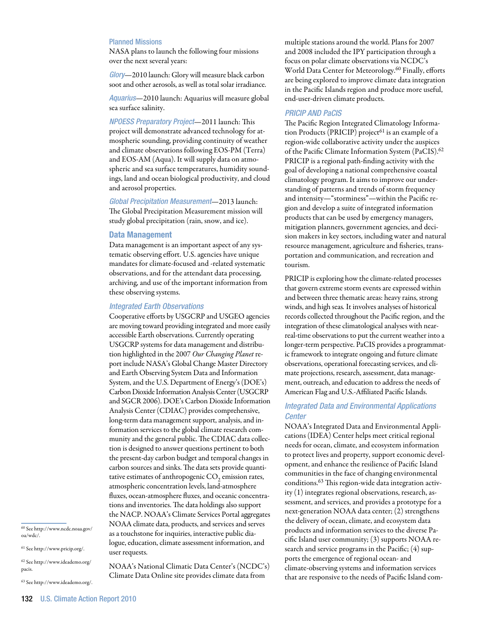## Planned Missions

NASA plans to launch the following four missions over the next several years:

*Glory*—2010 launch: Glory will measure black carbon soot and other aerosols, as well as total solar irradiance.

*Aquarius*—2010 launch: Aquarius will measure global sea surface salinity.

*NPOESS Preparatory Project*—2011 launch: This project will demonstrate advanced technology for atmospheric sounding, providing continuity of weather and climate observations following EOS-PM (Terra) and EOS-AM (Aqua). It will supply data on atmospheric and sea surface temperatures, humidity soundings, land and ocean biological productivity, and cloud and aerosol properties.

*Global Precipitation Measurement*—2013 launch: The Global Precipitation Measurement mission will study global precipitation (rain, snow, and ice).

#### Data Management

Data management is an important aspect of any systematic observing effort. U.S. agencies have unique mandates for climate-focused and -related systematic observations, and for the attendant data processing, archiving, and use of the important information from these observing systems.

## *Integrated Earth Observations*

Cooperative efforts by USGCRP and USGEO agencies are moving toward providing integrated and more easily accessible Earth observations. Currently operating USGCRP systems for data management and distribution highlighted in the 2007 *Our Changing Planet* report include NASA's Global Change Master Directory and Earth Observing System Data and Information System, and the U.S. Department of Energy's (DOE's) Carbon Dioxide Information Analysis Center (USGCRP and SGCR 2006). DOE's Carbon Dioxide Information Analysis Center (CDIAC) provides comprehensive, long-term data management support, analysis, and information services to the global climate research community and the general public. The CDIAC data collection is designed to answer questions pertinent to both the present-day carbon budget and temporal changes in carbon sources and sinks. The data sets provide quantitative estimates of anthropogenic  $CO<sub>2</sub>$  emission rates, atmospheric concentration levels, land-atmosphere fluxes, ocean-atmosphere fluxes, and oceanic concentrations and inventories. The data holdings also support the NACP. NOAA's Climate Services Portal aggregates NOAA climate data, products, and services and serves as a touchstone for inquiries, interactive public dialogue, education, climate assessment information, and user requests.

NOAA's National Climatic Data Center's (NCDC's) Climate Data Online site provides climate data from

multiple stations around the world. Plans for 2007 and 2008 included the IPY participation through a focus on polar climate observations via NCDC's World Data Center for Meteorology.<sup>60</sup> Finally, efforts are being explored to improve climate data integration in the Pacific Islands region and produce more useful, end-user-driven climate products.

## *PRICIP AND PaCIS*

The Pacific Region Integrated Climatology Information Products (PRICIP) project<sup>61</sup> is an example of a region-wide collaborative activity under the auspices of the Pacific Climate Information System (PaCIS).62 PRICIP is a regional path-finding activity with the goal of developing a national comprehensive coastal climatology program. It aims to improve our understanding of patterns and trends of storm frequency and intensity—"storminess"—within the Pacific region and develop a suite of integrated information products that can be used by emergency managers, mitigation planners, government agencies, and decision makers in key sectors, including water and natural resource management, agriculture and fisheries, transportation and communication, and recreation and tourism.

PRICIP is exploring how the climate-related processes that govern extreme storm events are expressed within and between three thematic areas: heavy rains, strong winds, and high seas*.* It involves analyses of historical records collected throughout the Pacific region, and the integration of these climatological analyses with nearreal-time observations to put the current weather into a longer-term perspective. PaCIS provides a programmatic framework to integrate ongoing and future climate observations, operational forecasting services, and climate projections, research, assessment, data management, outreach, and education to address the needs of American Flag and U.S.-Affiliated Pacific Islands.

# *Integrated Data and Environmental Applications Center*

NOAA's Integrated Data and Environmental Applications (IDEA) Center helps meet critical regional needs for ocean, climate, and ecosystem information to protect lives and property, support economic development, and enhance the resilience of Pacific Island communities in the face of changing environmental conditions.63 This region-wide data integration activity (1) integrates regional observations, research, assessment, and services, and provides a prototype for a next-generation NOAA data center; (2) strengthens the delivery of ocean, climate, and ecosystem data products and information services to the diverse Pacific Island user community; (3) supports NOAA research and service programs in the Pacific; (4) supports the emergence of regional ocean- and climate-observing systems and information services that are responsive to the needs of Pacific Island com-

63 See http://www.ideademo.org/.

<sup>60</sup> See http://www.ncdc.noaa.gov/ oa/wdc/.

<sup>61</sup> See http://www.pricip.org/.

<sup>62</sup> See http://www.ideademo.org/ pacis.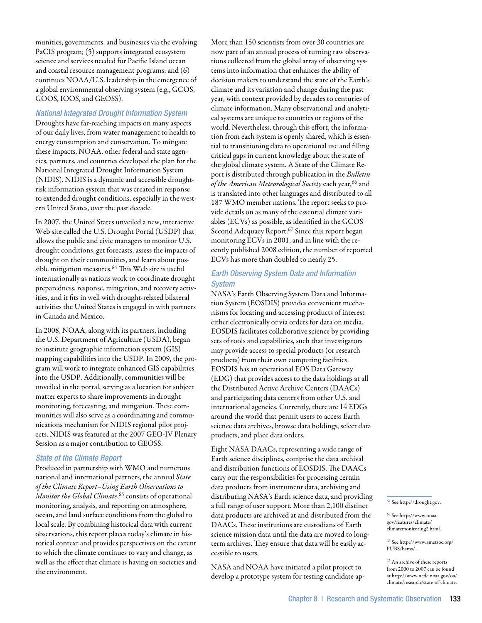munities, governments, and businesses via the evolving PaCIS program; (5) supports integrated ecosystem science and services needed for Pacific Island ocean and coastal resource management programs; and (6) continues NOAA/U.S. leadership in the emergence of a global environmental observing system (e.g., GCOS, GOOS, IOOS, and GEOSS).

## *National Integrated Drought Information System*

Droughts have far-reaching impacts on many aspects of our daily lives, from water management to health to energy consumption and conservation. To mitigate these impacts, NOAA, other federal and state agencies, partners, and countries developed the plan for the National Integrated Drought Information System (NIDIS). NIDIS is a dynamic and accessible droughtrisk information system that was created in response to extended drought conditions, especially in the western United States, over the past decade.

In 2007, the United States unveiled a new, interactive Web site called the U.S. Drought Portal (USDP) that allows the public and civic managers to monitor U.S. drought conditions, get forecasts, assess the impacts of drought on their communities, and learn about possible mitigation measures.<sup>64</sup> This Web site is useful internationally as nations work to coordinate drought preparedness, response, mitigation, and recovery activities, and it fits in well with drought-related bilateral activities the United States is engaged in with partners in Canada and Mexico.

In 2008, NOAA, along with its partners, including the U.S. Department of Agriculture (USDA), began to institute geographic information system (GIS) mapping capabilities into the USDP. In 2009, the program will work to integrate enhanced GIS capabilities into the USDP. Additionally, communities will be unveiled in the portal, serving as a location for subject matter experts to share improvements in drought monitoring, forecasting, and mitigation. These communities will also serve as a coordinating and communications mechanism for NIDIS regional pilot projects. NIDIS was featured at the 2007 GEO-IV Plenary Session as a major contribution to GEOSS.

## *State of the Climate Report*

Produced in partnership with WMO and numerous national and international partners, the annual *State of the Climate Report–Using Earth Observations to Monitor the Global Climate*, 65 consists of operational monitoring, analysis, and reporting on atmosphere, ocean, and land surface conditions from the global to local scale. By combining historical data with current observations, this report places today's climate in historical context and provides perspectives on the extent to which the climate continues to vary and change, as well as the effect that climate is having on societies and the environment.

More than 150 scientists from over 30 countries are now part of an annual process of turning raw observations collected from the global array of observing systems into information that enhances the ability of decision makers to understand the state of the Earth's climate and its variation and change during the past year, with context provided by decades to centuries of climate information. Many observational and analytical systems are unique to countries or regions of the world. Nevertheless, through this effort, the information from each system is openly shared, which is essential to transitioning data to operational use and filling critical gaps in current knowledge about the state of the global climate system. A State of the Climate Report is distributed through publication in the *Bulletin*  of the *American Meteorological Society* each year,<sup>66</sup> and is translated into other languages and distributed to all 187 WMO member nations. The report seeks to provide details on as many of the essential climate variables (ECVs) as possible, as identified in the GCOS Second Adequacy Report.<sup>67</sup> Since this report began monitoring ECVs in 2001, and in line with the recently published 2008 edition, the number of reported ECVs has more than doubled to nearly 25.

# *Earth Observing System Data and Information System*

NASA's Earth Observing System Data and Information System (EOSDIS) provides convenient mechanisms for locating and accessing products of interest either electronically or via orders for data on media. EOSDIS facilitates collaborative science by providing sets of tools and capabilities, such that investigators may provide access to special products (or research products) from their own computing facilities. EOSDIS has an operational EOS Data Gateway (EDG) that provides access to the data holdings at all the Distributed Active Archive Centers (DAACs) and participating data centers from other U.S. and international agencies. Currently, there are 14 EDGs around the world that permit users to access Earth science data archives, browse data holdings, select data products, and place data orders.

Eight NASA DAACs, representing a wide range of Earth science disciplines, comprise the data archival and distribution functions of EOSDIS. The DAACs carry out the responsibilities for processing certain data products from instrument data, archiving and distributing NASA's Earth science data, and providing a full range of user support. More than 2,100 distinct data products are archived at and distributed from the DAACs. These institutions are custodians of Earth science mission data until the data are moved to longterm archives. They ensure that data will be easily accessible to users.

NASA and NOAA have initiated a pilot project to develop a prototype system for testing candidate ap $^{64}$  See http://drought.gov.

65 See http://www.noaa. gov/features/climate/ climatemonitoring2.html.

66 See http://www.ametsoc.org/ PUBS/bams/.

67 An archive of these reports from 2000 to 2007 can be found at http://www.ncdc.noaa.gov/oa/ climate/research/state-of-climate.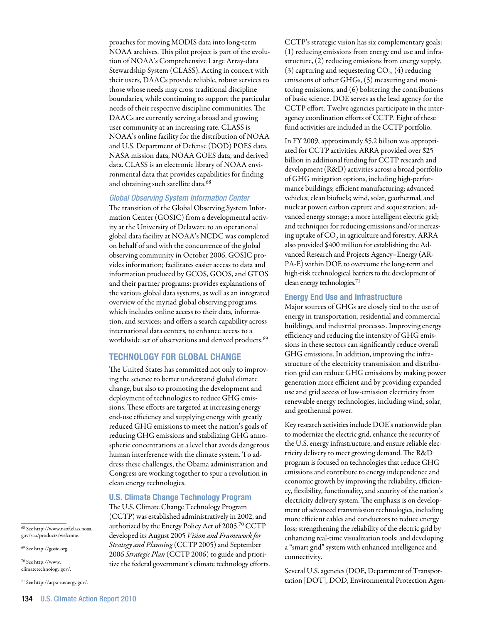proaches for moving MODIS data into long-term NOAA archives. This pilot project is part of the evolution of NOAA's Comprehensive Large Array-data Stewardship System (CLASS). Acting in concert with their users, DAACs provide reliable, robust services to those whose needs may cross traditional discipline boundaries, while continuing to support the particular needs of their respective discipline communities. The DAACs are currently serving a broad and growing user community at an increasing rate. CLASS is NOAA's online facility for the distribution of NOAA and U.S. Department of Defense (DOD) POES data, NASA mission data, NOAA GOES data, and derived data. CLASS is an electronic library of NOAA environmental data that provides capabilities for finding and obtaining such satellite data.<sup>68</sup>

## *Global Observing System Information Center*

The transition of the Global Observing System Information Center (GOSIC) from a developmental activity at the University of Delaware to an operational global data facility at NOAA's NCDC was completed on behalf of and with the concurrence of the global observing community in October 2006. GOSIC provides information; facilitates easier access to data and information produced by GCOS, GOOS, and GTOS and their partner programs; provides explanations of the various global data systems, as well as an integrated overview of the myriad global observing programs, which includes online access to their data, information, and services; and offers a search capability across international data centers, to enhance access to a worldwide set of observations and derived products.<sup>69</sup>

## Technology for Global Change

The United States has committed not only to improving the science to better understand global climate change, but also to promoting the development and deployment of technologies to reduce GHG emissions. These efforts are targeted at increasing energy end-use efficiency and supplying energy with greatly reduced GHG emissions to meet the nation's goals of reducing GHG emissions and stabilizing GHG atmospheric concentrations at a level that avoids dangerous human interference with the climate system. To address these challenges, the Obama administration and Congress are working together to spur a revolution in clean energy technologies.

#### U.S. Climate Change Technology Program

The U.S. Climate Change Technology Program (CCTP) was established administratively in 2002, and authorized by the Energy Policy Act of 2005.70 CCTP developed its August 2005 *Vision and Framework for Strategy and Planning* (CCTP 2005) and September 2006 *Strategic Plan* (CCTP 2006) to guide and prioritize the federal government's climate technology efforts.

CCTP's strategic vision has six complementary goals: (1) reducing emissions from energy end use and infrastructure, (2) reducing emissions from energy supply, (3) capturing and sequestering  $CO<sub>2</sub>$ , (4) reducing emissions of other GHGs, (5) measuring and monitoring emissions, and (6) bolstering the contributions of basic science. DOE serves as the lead agency for the CCTP effort. Twelve agencies participate in the interagency coordination efforts of CCTP. Eight of these fund activities are included in the CCTP portfolio.

In FY 2009, approximately \$5.2 billion was appropriated for CCTP activities. ARRA provided over \$25 billion in additional funding for CCTP research and development (R&D) activities across a broad portfolio of GHG mitigation options, including high-performance buildings; efficient manufacturing; advanced vehicles; clean biofuels; wind, solar, geothermal, and nuclear power; carbon capture and sequestration; advanced energy storage; a more intelligent electric grid; and techniques for reducing emissions and/or increasing uptake of  $CO<sub>2</sub>$  in agriculture and forestry. ARRA also provided \$400 million for establishing the Advanced Research and Projects Agency–Energy (AR-PA-E) within DOE to overcome the long-term and high-risk technological barriers to the development of clean energy technologies.71

#### Energy End Use and Infrastructure

Major sources of GHGs are closely tied to the use of energy in transportation, residential and commercial buildings, and industrial processes. Improving energy efficiency and reducing the intensity of GHG emissions in these sectors can significantly reduce overall GHG emissions. In addition, improving the infrastructure of the electricity transmission and distribution grid can reduce GHG emissions by making power generation more efficient and by providing expanded use and grid access of low-emission electricity from renewable energy technologies, including wind, solar, and geothermal power.

Key research activities include DOE's nationwide plan to modernize the electric grid, enhance the security of the U.S. energy infrastructure, and ensure reliable electricity delivery to meet growing demand. The R&D program is focused on technologies that reduce GHG emissions and contribute to energy independence and economic growth by improving the reliability, efficiency, flexibility, functionality, and security of the nation's electricity delivery system. The emphasis is on development of advanced transmission technologies, including more efficient cables and conductors to reduce energy loss; strengthening the reliability of the electric grid by enhancing real-time visualization tools; and developing a "smart grid" system with enhanced intelligence and connectivity.

Several U.S. agencies (DOE, Department of Transportation [DOT], DOD, Environmental Protection Agen-

68 See http://www.nsof.class.noaa. gov/saa/products/welcome.

69 See http://gosic.org.

70 See http://www. climatetechnology.gov/.

71 See http://arpa-e.energy.gov/.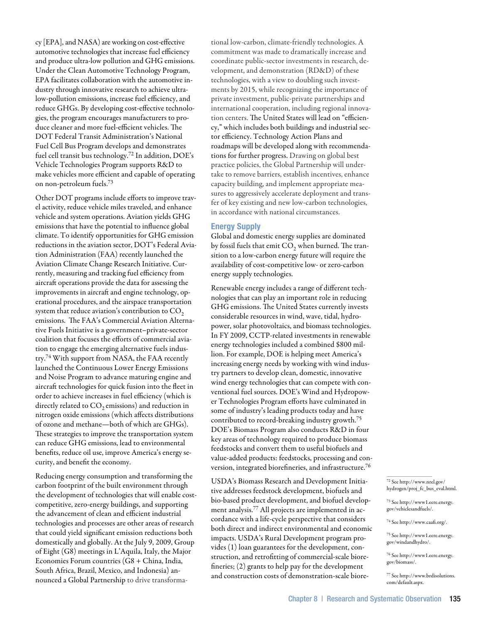cy [EPA], and NASA) are working on cost-effective automotive technologies that increase fuel efficiency and produce ultra-low pollution and GHG emissions. Under the Clean Automotive Technology Program, EPA facilitates collaboration with the automotive industry through innovative research to achieve ultralow-pollution emissions, increase fuel efficiency, and reduce GHGs. By developing cost-effective technologies, the program encourages manufacturers to produce cleaner and more fuel-efficient vehicles. The DOT Federal Transit Administration's National Fuel Cell Bus Program develops and demonstrates fuel cell transit bus technology.72 In addition, DOE's Vehicle Technologies Program supports R&D to make vehicles more efficient and capable of operating on non-petroleum fuels.73

Other DOT programs include efforts to improve travel activity, reduce vehicle miles traveled, and enhance vehicle and system operations. Aviation yields GHG emissions that have the potential to influence global climate. To identify opportunities for GHG emission reductions in the aviation sector, DOT's Federal Aviation Administration (FAA) recently launched the Aviation Climate Change Research Initiative. Currently, measuring and tracking fuel efficiency from aircraft operations provide the data for assessing the improvements in aircraft and engine technology, operational procedures, and the airspace transportation system that reduce aviation's contribution to  $CO<sub>2</sub>$ emissions. The FAA's Commercial Aviation Alternative Fuels Initiative is a government–private-sector coalition that focuses the efforts of commercial aviation to engage the emerging alternative fuels industry.74 With support from NASA, the FAA recently launched the Continuous Lower Energy Emissions and Noise Program to advance maturing engine and aircraft technologies for quick fusion into the fleet in order to achieve increases in fuel efficiency (which is directly related to  $CO<sub>2</sub>$  emissions) and reduction in nitrogen oxide emissions (which affects distributions of ozone and methane—both of which are GHGs). These strategies to improve the transportation system can reduce GHG emissions, lead to environmental benefits, reduce oil use, improve America's energy security, and benefit the economy.

Reducing energy consumption and transforming the carbon footprint of the built environment through the development of technologies that will enable costcompetitive, zero-energy buildings, and supporting the advancement of clean and efficient industrial technologies and processes are other areas of research that could yield significant emission reductions both domestically and globally. At the July 9, 2009, Group of Eight (G8) meetings in L'Aquila, Italy, the Major Economies Forum countries (G8 + China, India, South Africa, Brazil, Mexico, and Indonesia) announced a Global Partnership to drive transformational low-carbon, climate-friendly technologies. A commitment was made to dramatically increase and coordinate public-sector investments in research, development, and demonstration (RD&D) of these technologies, with a view to doubling such investments by 2015, while recognizing the importance of private investment, public-private partnerships and international cooperation, including regional innovation centers. The United States will lead on "efficiency," which includes both buildings and industrial sector efficiency. Technology Action Plans and roadmaps will be developed along with recommendations for further progress. Drawing on global best practice policies, the Global Partnership will undertake to remove barriers, establish incentives, enhance capacity building, and implement appropriate measures to aggressively accelerate deployment and transfer of key existing and new low-carbon technologies, in accordance with national circumstances.

## Energy Supply

Global and domestic energy supplies are dominated by fossil fuels that emit  $CO<sub>2</sub>$  when burned. The transition to a low-carbon energy future will require the availability of cost-competitive low- or zero-carbon energy supply technologies.

Renewable energy includes a range of different technologies that can play an important role in reducing GHG emissions. The United States currently invests considerable resources in wind, wave, tidal, hydropower, solar photovoltaics, and biomass technologies. In FY 2009, CCTP-related investments in renewable energy technologies included a combined \$800 million. For example, DOE is helping meet America's increasing energy needs by working with wind industry partners to develop clean, domestic, innovative wind energy technologies that can compete with conventional fuel sources. DOE's Wind and Hydropower Technologies Program efforts have culminated in some of industry's leading products today and have contributed to record-breaking industry growth.75 DOE's Biomass Program also conducts R&D in four key areas of technology required to produce biomass feedstocks and convert them to useful biofuels and value-added products: feedstocks, processing and conversion, integrated biorefineries, and infrastructure.76

USDA's Biomass Research and Development Initiative addresses feedstock development, biofuels and bio-based product development, and biofuel development analysis.77 All projects are implemented in accordance with a life-cycle perspective that considers both direct and indirect environmental and economic impacts. USDA's Rural Development program provides (1) loan guarantees for the development, construction, and retrofitting of commercial-scale biorefineries; (2) grants to help pay for the development and construction costs of demonstration-scale biore-

72 See http://www.nrel.gov/ hydrogen/proj\_fc\_bus\_eval.html.

73 See http://www1.eere.energy. gov/vehiclesandfuels/.

74 See http://www.caafi.org/.

75 See http://www1.eere.energy. gov/windandhydro/.

76 See http://www1.eere.energy. gov/biomass/.

77 See http://www.brdisolutions. com/default.aspx.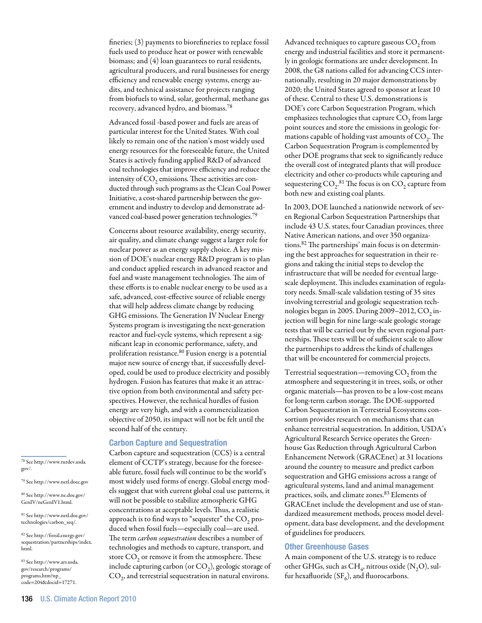fineries; (3) payments to biorefineries to replace fossil fuels used to produce heat or power with renewable biomass; and (4) loan guarantees to rural residents, agricultural producers, and rural businesses for energy efficiency and renewable energy systems, energy audits, and technical assistance for projects ranging from biofuels to wind, solar, geothermal, methane gas recovery, advanced hydro, and biomass.78

Advanced fossil -based power and fuels are areas of particular interest for the United States. With coal likely to remain one of the nation's most widely used energy resources for the foreseeable future, the United States is actively funding applied R&D of advanced coal technologies that improve efficiency and reduce the intensity of  $CO<sub>2</sub>$  emissions. These activities are conducted through such programs as the Clean Coal Power Initiative, a cost-shared partnership between the government and industry to develop and demonstrate advanced coal-based power generation technologies.<sup>79</sup>

Concerns about resource availability, energy security, air quality, and climate change suggest a larger role for nuclear power as an energy supply choice. A key mission of DOE's nuclear energy R&D program is to plan and conduct applied research in advanced reactor and fuel and waste management technologies. The aim of these efforts is to enable nuclear energy to be used as a safe, advanced, cost-effective source of reliable energy that will help address climate change by reducing GHG emissions. The Generation IV Nuclear Energy Systems program is investigating the next-generation reactor and fuel-cycle systems, which represent a significant leap in economic performance, safety, and proliferation resistance.<sup>80</sup> Fusion energy is a potential major new source of energy that, if successfully developed, could be used to produce electricity and possibly hydrogen. Fusion has features that make it an attractive option from both environmental and safety perspectives. However, the technical hurdles of fusion energy are very high, and with a commercialization objective of 2050, its impact will not be felt until the second half of the century.

# Carbon Capture and Sequestration

Carbon capture and sequestration (CCS) is a central element of CCTP's strategy, because for the foreseeable future, fossil fuels will continue to be the world's most widely used forms of energy. Global energy models suggest that with current global coal use patterns, it will not be possible to stabilize atmospheric GHG concentrations at acceptable levels. Thus, a realistic approach is to find ways to "sequester" the  $CO<sub>2</sub>$  produced when fossil fuels—especially coal—are used. The term *carbon sequestration* describes a number of technologies and methods to capture, transport, and store  $CO<sub>2</sub>$  or remove it from the atmosphere. These include capturing carbon (or  $CO<sub>2</sub>$ ), geologic storage of  $CO<sub>2</sub>$ , and terrestrial sequestration in natural environs.

Advanced techniques to capture gaseous  $\mathrm{CO}_2$  from energy and industrial facilities and store it permanently in geologic formations are under development. In 2008, the G8 nations called for advancing CCS internationally, resulting in 20 major demonstrations by 2020; the United States agreed to sponsor at least 10 of these. Central to these U.S. demonstrations is DOE's core Carbon Sequestration Program, which emphasizes technologies that capture  $CO<sub>2</sub>$  from large point sources and store the emissions in geologic formations capable of holding vast amounts of  $CO<sub>2</sub>$ . The Carbon Sequestration Program is complemented by other DOE programs that seek to significantly reduce the overall cost of integrated plants that will produce electricity and other co-products while capturing and sequestering  $\mathrm{CO}_2$ .<sup>81</sup> The focus is on  $\mathrm{CO}_2$  capture from both new and existing coal plants.

In 2003, DOE launched a nationwide network of seven Regional Carbon Sequestration Partnerships that include 43 U.S. states, four Canadian provinces, three Native American nations, and over 350 organizations.82 The partnerships' main focus is on determining the best approaches for sequestration in their regions and taking the initial steps to develop the infrastructure that will be needed for eventual largescale deployment. This includes examination of regulatory needs. Small-scale validation testing of 35 sites involving terrestrial and geologic sequestration technologies began in 2005. During 2009-2012,  $CO<sub>2</sub>$  injection will begin for nine large-scale geologic storage tests that will be carried out by the seven regional partnerships. These tests will be of sufficient scale to allow the partnerships to address the kinds of challenges that will be encountered for commercial projects.

Terrestrial sequestration—removing  $CO<sub>2</sub>$  from the atmosphere and sequestering it in trees, soils, or other organic materials—has proven to be a low-cost means for long-term carbon storage. The DOE-supported Carbon Sequestration in Terrestrial Ecosystems consortium provides research on mechanisms that can enhance terrestrial sequestration. In addition, USDA's Agricultural Research Service operates the Greenhouse Gas Reduction through Agricultural Carbon Enhancement Network (GRACEnet) at 31 locations around the country to measure and predict carbon sequestration and GHG emissions across a range of agricultural systems, land and animal management practices, soils, and climate zones.83 Elements of GRACEnet include the development and use of standardized measurement methods, process model development, data base development, and the development of guidelines for producers.

## Other Greenhouse Gases

A main component of the U.S. strategy is to reduce other GHGs, such as CH<sub>4</sub>, nitrous oxide  $(N, O)$ , sulfur hexafluoride ( $SF<sub>6</sub>$ ), and fluorocarbons.

78 See http://www.rurdev.usda. gov/.

79 See http://www.netl.doec.gov

80 See http://www.ne.doe.gov/ GenIV/neGenIV1.html.

81 See http://www.netl.doe.gov/ technologies/carbon\_seq/.

82 See http://fossil.energy.gov/ sequestration/partnerships/index. html.

83 See http://www.ars.usda. gov/research/programs/ programs.htm?np\_ code=204&docid=17271.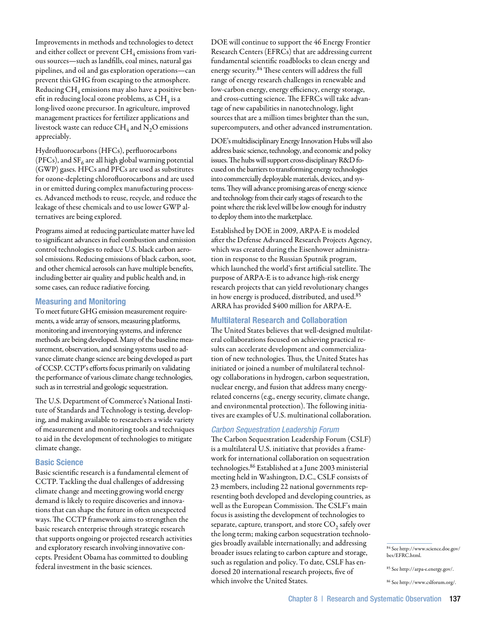Improvements in methods and technologies to detect and either collect or prevent  $CH_4$  emissions from various sources—such as landfills, coal mines, natural gas pipelines, and oil and gas exploration operations—can prevent this GHG from escaping to the atmosphere. Reducing  $CH_4$  emissions may also have a positive benefit in reducing local ozone problems, as  $\mathrm{CH}_4$  is a long-lived ozone precursor. In agriculture, improved management practices for fertilizer applications and livestock waste can reduce  $\text{CH}_4$  and  $\text{N}_2\text{O}$  emissions appreciably.

Hydrofluorocarbons (HFCs), perfluorocarbons (PFCs), and  $SF<sub>6</sub>$  are all high global warming potential (GWP) gases. HFCs and PFCs are used as substitutes for ozone-depleting chlorofluorocarbons and are used in or emitted during complex manufacturing processes. Advanced methods to reuse, recycle, and reduce the leakage of these chemicals and to use lower GWP alternatives are being explored.

Programs aimed at reducing particulate matter have led to significant advances in fuel combustion and emission control technologies to reduce U.S. black carbon aerosol emissions. Reducing emissions of black carbon, soot, and other chemical aerosols can have multiple benefits, including better air quality and public health and, in some cases, can reduce radiative forcing.

## Measuring and Monitoring

To meet future GHG emission measurement requirements, a wide array of sensors, measuring platforms, monitoring and inventorying systems, and inference methods are being developed. Many of the baseline measurement, observation, and sensing systems used to advance climate change science are being developed as part of CCSP. CCTP's efforts focus primarily on validating the performance of various climate change technologies, such as in terrestrial and geologic sequestration.

The U.S. Department of Commerce's National Institute of Standards and Technology is testing, developing, and making available to researchers a wide variety of measurement and monitoring tools and techniques to aid in the development of technologies to mitigate climate change.

## Basic Science

Basic scientific research is a fundamental element of CCTP. Tackling the dual challenges of addressing climate change and meeting growing world energy demand is likely to require discoveries and innovations that can shape the future in often unexpected ways. The CCTP framework aims to strengthen the basic research enterprise through strategic research that supports ongoing or projected research activities and exploratory research involving innovative concepts. President Obama has committed to doubling federal investment in the basic sciences.

DOE will continue to support the 46 Energy Frontier Research Centers (EFRCs) that are addressing current fundamental scientific roadblocks to clean energy and energy security.84 These centers will address the full range of energy research challenges in renewable and low-carbon energy, energy efficiency, energy storage, and cross-cutting science. The EFRCs will take advantage of new capabilities in nanotechnology, light sources that are a million times brighter than the sun, supercomputers, and other advanced instrumentation.

DOE's multidisciplinary Energy Innovation Hubs will also address basic science, technology, and economic and policy issues. The hubs will support cross-disciplinary R&D focused on the barriers to transforming energy technologies into commercially deployable materials, devices, and systems. They will advance promising areas of energy science and technology from their early stages of research to the point where the risk level will be low enough for industry to deploy them into the marketplace.

Established by DOE in 2009, ARPA-E is modeled after the Defense Advanced Research Projects Agency, which was created during the Eisenhower administration in response to the Russian Sputnik program, which launched the world's first artificial satellite. The purpose of ARPA-E is to advance high-risk energy research projects that can yield revolutionary changes in how energy is produced, distributed, and used.85 ARRA has provided \$400 million for ARPA-E.

# Multilateral Research and Collaboration

The United States believes that well-designed multilateral collaborations focused on achieving practical results can accelerate development and commercialization of new technologies. Thus, the United States has initiated or joined a number of multilateral technology collaborations in hydrogen, carbon sequestration, nuclear energy, and fusion that address many energyrelated concerns (e.g., energy security, climate change, and environmental protection). The following initiatives are examples of U.S. multinational collaboration.

## *Carbon Sequestration Leadership Forum*

The Carbon Sequestration Leadership Forum (CSLF) is a multilateral U.S. initiative that provides a framework for international collaboration on sequestration technologies.86 Established at a June 2003 ministerial meeting held in Washington, D.C., CSLF consists of 23 members, including 22 national governments representing both developed and developing countries, as well as the European Commission. The CSLF's main focus is assisting the development of technologies to separate, capture, transport, and store  $CO<sub>2</sub>$  safely over the long term; making carbon sequestration technologies broadly available internationally; and addressing broader issues relating to carbon capture and storage, such as regulation and policy. To date, CSLF has endorsed 20 international research projects, five of which involve the United States.

<sup>84</sup> See http://www.science.doe.gov/ bes/EFRC.html.

<sup>85</sup> See http://arpa-e.energy.gov/.

<sup>86</sup> See http://www.cslforum.org/.